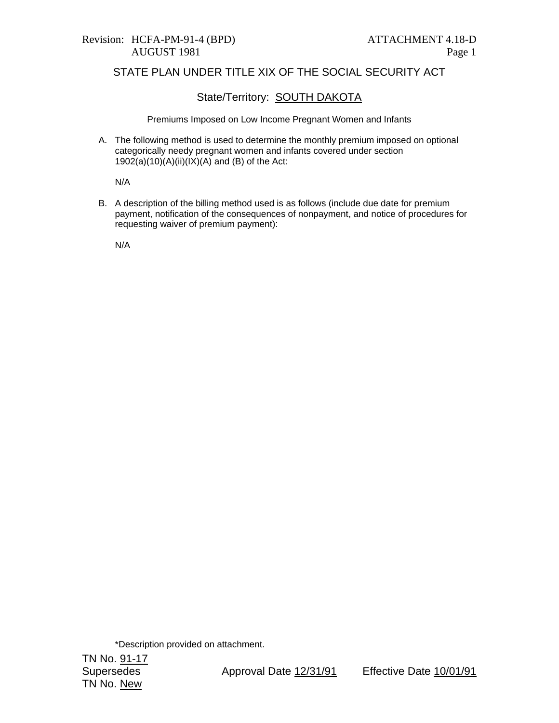# Revision: HCFA-PM-91-4 (BPD) ATTACHMENT 4.18-D

#### STATE PLAN UNDER TITLE XIX OF THE SOCIAL SECURITY ACT

### State/Territory: **SOUTH DAKOTA**

Premiums Imposed on Low Income Pregnant Women and Infants

A. The following method is used to determine the monthly premium imposed on optional categorically needy pregnant women and infants covered under section  $1902(a)(10)(A)(ii)(IX)(A)$  and (B) of the Act:

N/A

B. A description of the billing method used is as follows (include due date for premium payment, notification of the consequences of nonpayment, and notice of procedures for requesting waiver of premium payment):

N/A

\*Description provided on attachment.

TN No. <u>91-17</u> TN No. New

Supersedes Approval Date 12/31/91 Effective Date 10/01/91